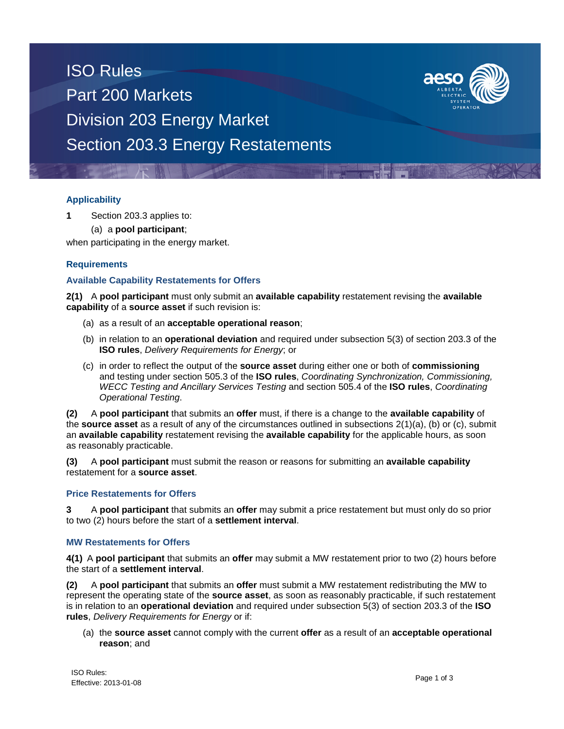# ISO Rules Part 200 Markets Division 203 Energy Market Section 203.3 Energy Restatements



### **Applicability**

**1** Section 203.3 applies to:

(a) a **pool participant**;

when participating in the energy market.

## **Requirements**

## **Available Capability Restatements for Offers**

**2(1)** A **pool participant** must only submit an **available capability** restatement revising the **available capability** of a **source asset** if such revision is:

- (a) as a result of an **acceptable operational reason**;
- (b) in relation to an **operational deviation** and required under subsection 5(3) of section 203.3 of the **ISO rules**, *Delivery Requirements for Energy*; or
- (c) in order to reflect the output of the **source asset** during either one or both of **commissioning** and testing under section 505.3 of the **ISO rules**, *Coordinating Synchronization, Commissioning, WECC Testing and Ancillary Services Testing* and section 505.4 of the **ISO rules**, *Coordinating Operational Testing*.

**(2)** A **pool participant** that submits an **offer** must, if there is a change to the **available capability** of the **source asset** as a result of any of the circumstances outlined in subsections 2(1)(a), (b) or (c), submit an **available capability** restatement revising the **available capability** for the applicable hours, as soon as reasonably practicable.

**(3)** A **pool participant** must submit the reason or reasons for submitting an **available capability** restatement for a **source asset**.

### **Price Restatements for Offers**

**3** A **pool participant** that submits an **offer** may submit a price restatement but must only do so prior to two (2) hours before the start of a **settlement interval**.

### **MW Restatements for Offers**

**4(1)** A **pool participant** that submits an **offer** may submit a MW restatement prior to two (2) hours before the start of a **settlement interval**.

**(2)** A **pool participant** that submits an **offer** must submit a MW restatement redistributing the MW to represent the operating state of the **source asset**, as soon as reasonably practicable, if such restatement is in relation to an **operational deviation** and required under subsection 5(3) of section 203.3 of the **ISO rules**, *Delivery Requirements for Energy* or if:

(a) the **source asset** cannot comply with the current **offer** as a result of an **acceptable operational reason**; and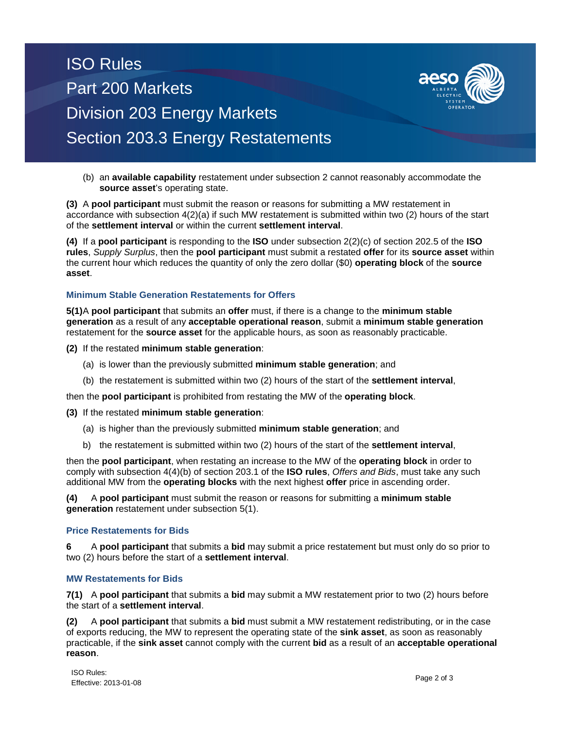# ISO Rules Part 200 Markets Division 203 Energy Markets Section 203.3 Energy Restatements



(b) an **available capability** restatement under subsection 2 cannot reasonably accommodate the **source asset**'s operating state.

**(3)** A **pool participant** must submit the reason or reasons for submitting a MW restatement in accordance with subsection 4(2)(a) if such MW restatement is submitted within two (2) hours of the start of the **settlement interval** or within the current **settlement interval**.

**(4)** If a **pool participant** is responding to the **ISO** under subsection 2(2)(c) of section 202.5 of the **ISO rules**, *Supply Surplus*, then the **pool participant** must submit a restated **offer** for its **source asset** within the current hour which reduces the quantity of only the zero dollar (\$0) **operating block** of the **source asset**.

### **Minimum Stable Generation Restatements for Offers**

**5(1)**A **pool participant** that submits an **offer** must, if there is a change to the **minimum stable generation** as a result of any **acceptable operational reason**, submit a **minimum stable generation** restatement for the **source asset** for the applicable hours, as soon as reasonably practicable.

**(2)** If the restated **minimum stable generation**:

- (a) is lower than the previously submitted **minimum stable generation**; and
- (b) the restatement is submitted within two (2) hours of the start of the **settlement interval**,

then the **pool participant** is prohibited from restating the MW of the **operating block**.

#### **(3)** If the restated **minimum stable generation**:

- (a) is higher than the previously submitted **minimum stable generation**; and
- b) the restatement is submitted within two (2) hours of the start of the **settlement interval**,

then the **pool participant**, when restating an increase to the MW of the **operating block** in order to comply with subsection 4(4)(b) of section 203.1 of the **ISO rules**, *Offers and Bids*, must take any such additional MW from the **operating blocks** with the next highest **offer** price in ascending order.

**(4)** A **pool participant** must submit the reason or reasons for submitting a **minimum stable generation** restatement under subsection 5(1).

#### **Price Restatements for Bids**

**6** A **pool participant** that submits a **bid** may submit a price restatement but must only do so prior to two (2) hours before the start of a **settlement interval**.

### **MW Restatements for Bids**

**7(1)** A **pool participant** that submits a **bid** may submit a MW restatement prior to two (2) hours before the start of a **settlement interval**.

**(2)** A **pool participant** that submits a **bid** must submit a MW restatement redistributing, or in the case of exports reducing, the MW to represent the operating state of the **sink asset**, as soon as reasonably practicable, if the **sink asset** cannot comply with the current **bid** as a result of an **acceptable operational reason**.